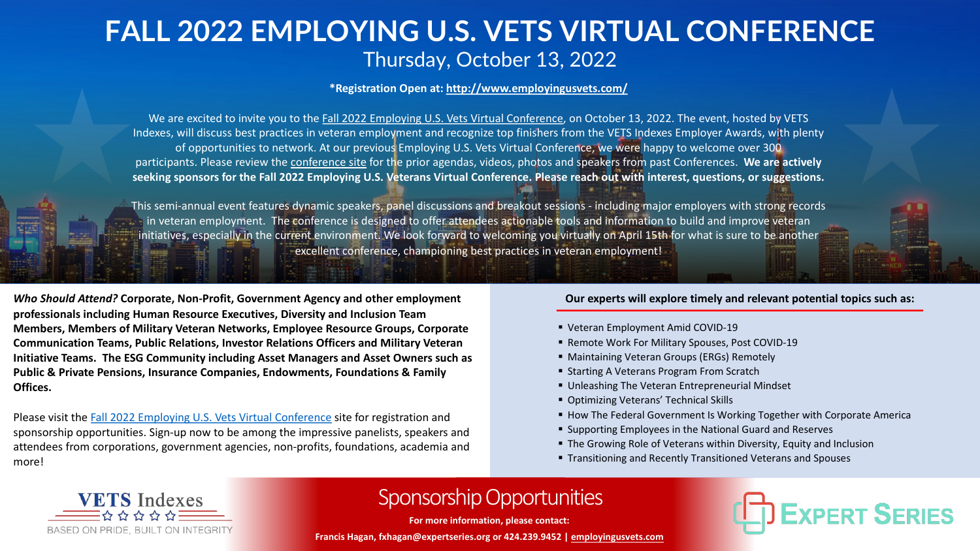## **FALL 2022 EMPLOYING U.S. VETS VIRTUAL CONFERENCE** Thursday, October 13, 2022

**\*Registration Open at:<http://www.employingusvets.com/>**

We are excited to invite you to the [Fall 2022 Employing U.S. Vets Virtual Conference,](http://www.employingusvets.com/) on October 13, 2022. The event, hosted by VETS Indexes, will discuss best practices in veteran employment and recognize top finishers from the VETS Indexes Employer Awards, with plenty of opportunities to network. At our previous Employing U.S. Vets Virtual Conference, we were happy to welcome over 300 participants. Please review the [conference site](http://www.employingusvets.com/) for the prior agendas, videos, photos and speakers from past Conferences. **We are actively seeking sponsors for the Fall 2022 Employing U.S. Veterans Virtual Conference. Please reach out with interest, questions, or suggestions.**

This semi-annual event features dynamic speakers, panel discussions and breakout sessions - including major employers with strong records in veteran employment. The conference is designed to offer attendees actionable tools and information to build and improve veteran initiatives, especially in the current environment. We look forward to welcoming you virtually on April 15th for what is sure to be another excellent conference, championing best practices in veteran employment!

*Who Should Attend?* **Corporate, Non-Profit, Government Agency and other employment professionals including Human Resource Executives, Diversity and Inclusion Team Members, Members of Military Veteran Networks, Employee Resource Groups, Corporate Communication Teams, Public Relations, Investor Relations Officers and Military Veteran Initiative Teams. The ESG Community including Asset Managers and Asset Owners such as Public & Private Pensions, Insurance Companies, Endowments, Foundations & Family Offices.**

Please visit the [Fall 2022 Employing U.S. Vets Virtual Conference](http://www.employingusvets.com) site for registration and sponsorship opportunities. Sign-up now to be among the impressive panelists, speakers and attendees from corporations, government agencies, non-profits, foundations, academia and more!

## **Our experts will explore timely and relevant potential topics such as:**

- § Veteran Employment Amid COVID-19
- § Remote Work For Military Spouses, Post COVID-19
- Maintaining Veteran Groups (ERGs) Remotely
- Starting A Veterans Program From Scratch
- Unleashing The Veteran Entrepreneurial Mindset
- Optimizing Veterans' Technical Skills
- How The Federal Government Is Working Together with Corporate America
- Supporting Employees in the National Guard and Reserves
- The Growing Role of Veterans within Diversity, Equity and Inclusion
- § Transitioning and Recently Transitioned Veterans and Spouses



## Sponsorship Opportunities

**For more information, please contact:**

**Francis Hagan, fxhagan@expertseries.org or 424.239.9452 | [employingusvets.com](https://www.employingusvets.com/)**